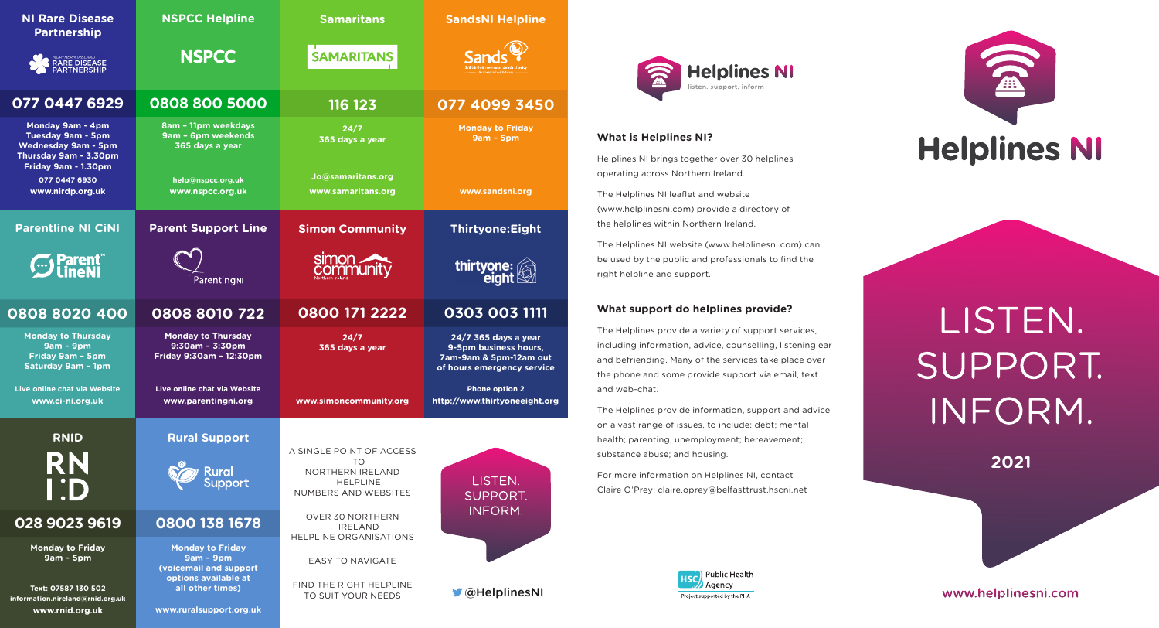| <b>NI Rare Disease</b><br><b>Partnership</b>                                                                               | <b>NSPCC Helpline</b>                                                                    | <b>Samaritans</b>                                                        | <b>SandsNI Helpline</b>                                                                               |  |  |
|----------------------------------------------------------------------------------------------------------------------------|------------------------------------------------------------------------------------------|--------------------------------------------------------------------------|-------------------------------------------------------------------------------------------------------|--|--|
| NORTHERN IRELAND<br>RARE DISEASE<br>PARTNERSHIP                                                                            | <b>NSPCC</b>                                                                             | <b>SAMARITANS</b>                                                        |                                                                                                       |  |  |
| 077 0447 6929                                                                                                              | 0808 800 5000                                                                            | $116$ 123                                                                | 077 4099 3450                                                                                         |  |  |
| Monday 9am - 4pm<br><b>Tuesday 9am - 5pm</b><br><b>Wednesday 9am - 5pm</b><br>Thursday 9am - 3.30pm<br>Friday 9am - 1.30pm | 8am - 11pm weekdays<br>9am - 6pm weekends<br>365 days a year                             | 24/7<br>365 days a year                                                  | <b>Monday to Friday</b><br>$9am - 5pm$                                                                |  |  |
| 077 0447 6930<br>www.nirdp.org.uk                                                                                          | help@nspcc.org.uk<br>www.nspcc.org.uk                                                    | Jo@samaritans.org<br>www.samaritans.org                                  | www.sandsni.org                                                                                       |  |  |
| <b>Parentline NI CiNI</b>                                                                                                  | <b>Parent Support Line</b>                                                               | <b>Simon Community</b>                                                   | <b>Thirtyone:Eight</b><br>thirtyone:<br>eight                                                         |  |  |
| <b>S</b> Parent                                                                                                            | ParentingNI                                                                              | <b>simon</b>                                                             |                                                                                                       |  |  |
| 0808 8020 400                                                                                                              | 0808 8010 722                                                                            | 0800 171 2222                                                            | 0303 003 1111                                                                                         |  |  |
|                                                                                                                            |                                                                                          |                                                                          |                                                                                                       |  |  |
| <b>Monday to Thursday</b><br>$9am - 9pm$<br>Friday 9am - 5pm<br>Saturday 9am - 1pm                                         | <b>Monday to Thursday</b><br>$9:30$ am - 3:30pm<br>Friday 9:30am - 12:30pm               | 24/7<br>365 days a year                                                  | 24/7 365 days a year<br>9-5pm business hours,<br>7am-9am & 5pm-12am out<br>of hours emergency service |  |  |
| Live online chat via Website<br>www.ci-ni.org.uk                                                                           | Live online chat via Website<br>www.parentingni.org                                      | www.simoncommunity.org                                                   | <b>Phone option 2</b><br>http://www.thirtyoneeight.org                                                |  |  |
| <b>RNID</b>                                                                                                                | <b>Rural Support</b>                                                                     | A SINGLE POINT OF ACCESS                                                 |                                                                                                       |  |  |
| RN<br>$\mathsf{I}$ :D                                                                                                      | <b>Rural</b><br><b>Support</b>                                                           | <b>TO</b><br>NORTHERN IRELAND<br><b>HELPLINE</b><br>NUMBERS AND WEBSITES | LISTEN.<br><b>SUPPORT.</b>                                                                            |  |  |
| 028 9023 9619                                                                                                              | 0800 138 1678                                                                            | <b>OVER 30 NORTHERN</b><br><b>IRELAND</b>                                | INFORM.                                                                                               |  |  |
| <b>Monday to Friday</b><br>$9am - 5pm$                                                                                     | <b>Monday to Friday</b><br>$9am - 9pm$<br>(voicemail and support<br>options available at | <b>HELPLINE ORGANISATIONS</b><br><b>EASY TO NAVIGATE</b>                 |                                                                                                       |  |  |



## **What is Helplines NI?**

Helplines NI brings together over 30 helplines operating across Northern Ireland.

The Helplines NI leaflet and website (www.helplinesni.com) provide a directory of the helplines within Northern Ireland.

The Helplines NI website (www.helplinesni.com) can be used by the public and professionals to find the right helpline and support.

## **What support do helplines provide?**

The Helplines provide a variety of support services, including information, advice, counselling, listening ear and befriending. Many of the services take place over the phone and some provide support via email, text and web-chat.

The Helplines provide information, support and advice on a vast range of issues, to include: debt; mental health; parenting, unemployment; bereavement; substance abuse; and housing.

For more information on Helplines NI, contact Claire O'Prey: claire.oprey@belfasttrust.hscni.net





## LISTEN. SUPPORT. INFORM.

**2021**

www.helplinesni.com